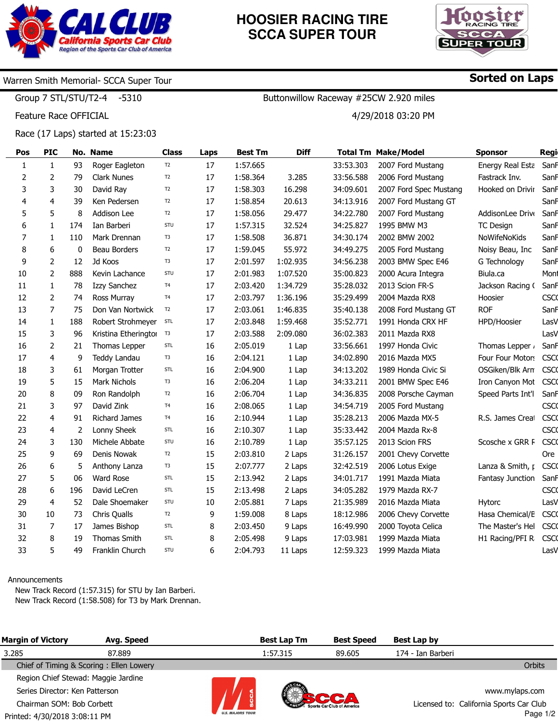

# **HOOSIER RACING TIRE SCCA SUPER TOUR**



Sorted on Laps

## Warren Smith Memorial- SCCA Super Tour

Group 7 STL/STU/T2-4 -5310

Feature Race OFFICIAL

Race (17 Laps) started at 15:23:03

| Pos | <b>PIC</b>   |     | No. Name             | <b>Class</b>   | Laps | <b>Best Tm</b> | <b>Diff</b> |           | <b>Total Tm Make/Model</b> | <b>Sponsor</b>    | Regi        |
|-----|--------------|-----|----------------------|----------------|------|----------------|-------------|-----------|----------------------------|-------------------|-------------|
| 1   | $\mathbf{1}$ | 93  | Roger Eagleton       | T <sub>2</sub> | 17   | 1:57.665       |             | 33:53.303 | 2007 Ford Mustang          | Energy Real Esta  | SanF        |
| 2   | 2            | 79  | <b>Clark Nunes</b>   | T <sub>2</sub> | 17   | 1:58.364       | 3.285       | 33:56.588 | 2006 Ford Mustang          | Fastrack Inv.     | SanF        |
| 3   | 3            | 30  | David Ray            | T <sub>2</sub> | 17   | 1:58.303       | 16.298      | 34:09.601 | 2007 Ford Spec Mustang     | Hooked on Drivir  | Sanf        |
| 4   | 4            | 39  | Ken Pedersen         | T <sub>2</sub> | 17   | 1:58.854       | 20.613      | 34:13.916 | 2007 Ford Mustang GT       |                   | SanF        |
| 5   | 5            | 8   | Addison Lee          | T <sub>2</sub> | 17   | 1:58.056       | 29.477      | 34:22.780 | 2007 Ford Mustang          | AddisonLee Drive  | SanF        |
| 6   | 1            | 174 | Ian Barberi          | STU            | 17   | 1:57.315       | 32.524      | 34:25.827 | 1995 BMW M3                | TC Design         | SanF        |
| 7   | 1            | 110 | Mark Drennan         | T3             | 17   | 1:58.508       | 36.871      | 34:30.174 | 2002 BMW 2002              | NoWifeNoKids      | SanF        |
| 8   | 6            | 0   | Beau Borders         | T <sub>2</sub> | 17   | 1:59.045       | 55.972      | 34:49.275 | 2005 Ford Mustang          | Noisy Beau, Inc   | SanF        |
| 9   | 2            | 12  | Jd Koos              | T <sub>3</sub> | 17   | 2:01.597       | 1:02.935    | 34:56.238 | 2003 BMW Spec E46          | G Technology      | SanF        |
| 10  | 2            | 888 | Kevin Lachance       | STU            | 17   | 2:01.983       | 1:07.520    | 35:00.823 | 2000 Acura Integra         | Biula.ca          | Mont        |
| 11  | $\mathbf{1}$ | 78  | Izzy Sanchez         | T <sub>4</sub> | 17   | 2:03.420       | 1:34.729    | 35:28.032 | 2013 Scion FR-S            | Jackson Racing (  | SanF        |
| 12  | 2            | 74  | Ross Murray          | T <sub>4</sub> | 17   | 2:03.797       | 1:36.196    | 35:29.499 | 2004 Mazda RX8             | Hoosier           | <b>CSCO</b> |
| 13  | 7            | 75  | Don Van Nortwick     | T <sub>2</sub> | 17   | 2:03.061       | 1:46.835    | 35:40.138 | 2008 Ford Mustang GT       | <b>ROF</b>        | SanF        |
| 14  | 1            | 188 | Robert Strohmeyer    | STL            | 17   | 2:03.848       | 1:59.468    | 35:52.771 | 1991 Honda CRX HF          | HPD/Hoosier       | LasV        |
| 15  | 3            | 96  | Kristina Etheringtor | T <sub>3</sub> | 17   | 2:03.588       | 2:09.080    | 36:02.383 | 2011 Mazda RX8             |                   | LasV        |
| 16  | 2            | 21  | Thomas Lepper        | STL            | 16   | 2:05.019       | 1 Lap       | 33:56.661 | 1997 Honda Civic           | Thomas Lepper     | SanF        |
| 17  | 4            | 9   | Teddy Landau         | T3             | 16   | 2:04.121       | 1 Lap       | 34:02.890 | 2016 Mazda MX5             | Four Four Motors  | <b>CSCO</b> |
| 18  | 3            | 61  | Morgan Trotter       | STL            | 16   | 2:04.900       | 1 Lap       | 34:13.202 | 1989 Honda Civic Si        | OSGiken/Blk Arm   | <b>CSCO</b> |
| 19  | 5            | 15  | Mark Nichols         | T <sub>3</sub> | 16   | 2:06.204       | 1 Lap       | 34:33.211 | 2001 BMW Spec E46          | Iron Canyon Mot   | <b>CSCO</b> |
| 20  | 8            | 09  | Ron Randolph         | T <sub>2</sub> | 16   | 2:06.704       | 1 Lap       | 34:36.835 | 2008 Porsche Cayman        | Speed Parts Int'l | SanF        |
| 21  | 3            | 97  | David Zink           | T <sub>4</sub> | 16   | 2:08.065       | 1 Lap       | 34:54.719 | 2005 Ford Mustang          |                   | <b>CSCO</b> |
| 22  | 4            | 91  | Richard James        | T <sub>4</sub> | 16   | 2:10.944       | 1 Lap       | 35:28.213 | 2006 Mazda MX-5            | R.S. James Creat  | <b>CSCO</b> |
| 23  | 4            | 2   | Lonny Sheek          | STL            | 16   | 2:10.307       | 1 Lap       | 35:33.442 | 2004 Mazda Rx-8            |                   | <b>CSCO</b> |
| 24  | 3            | 130 | Michele Abbate       | STU            | 16   | 2:10.789       | 1 Lap       | 35:57.125 | 2013 Scion FRS             | Scosche x GRR F   | <b>CSCO</b> |
| 25  | 9            | 69  | Denis Nowak          | T <sub>2</sub> | 15   | 2:03.810       | 2 Laps      | 31:26.157 | 2001 Chevy Corvette        |                   | Ore         |
| 26  | 6            | 5   | Anthony Lanza        | T3             | 15   | 2:07.777       | 2 Laps      | 32:42.519 | 2006 Lotus Exige           | Lanza & Smith, p  | <b>CSCO</b> |
| 27  | 5            | 06  | <b>Ward Rose</b>     | STL            | 15   | 2:13.942       | 2 Laps      | 34:01.717 | 1991 Mazda Miata           | Fantasy Junction  | SanF        |
| 28  | 6            | 196 | David LeCren         | STL            | 15   | 2:13.498       | 2 Laps      | 34:05.282 | 1979 Mazda RX-7            |                   | <b>CSCO</b> |
| 29  | 4            | 52  | Dale Shoemaker       | STU            | 10   | 2:05.881       | 7 Laps      | 21:35.989 | 2016 Mazda Miata           | Hytorc            | LasV        |
| 30  | 10           | 73  | Chris Qualls         | T <sub>2</sub> | 9    | 1:59.008       | 8 Laps      | 18:12.986 | 2006 Chevy Corvette        | Hasa Chemical/E   | <b>CSCO</b> |
| 31  | 7            | 17  | James Bishop         | STL            | 8    | 2:03.450       | 9 Laps      | 16:49.990 | 2000 Toyota Celica         | The Master's Hel  | <b>CSCO</b> |
| 32  | 8            | 19  | Thomas Smith         | STL            | 8    | 2:05.498       | 9 Laps      | 17:03.981 | 1999 Mazda Miata           | H1 Racing/PFI R   | <b>CSCO</b> |
| 33  | 5            | 49  | Franklin Church      | STU            | 6    | 2:04.793       | 11 Laps     | 12:59.323 | 1999 Mazda Miata           |                   | LasV        |

#### Announcements

New Track Record (1:57.315) for STU by Ian Barberi. New Track Record (1:58.508) for T3 by Mark Drennan.

| <b>Margin of Victory</b>            | Avg. Speed                              |                         | <b>Best Lap Tm</b> | <b>Best Speed</b>                 | Best Lap by       |                                         |
|-------------------------------------|-----------------------------------------|-------------------------|--------------------|-----------------------------------|-------------------|-----------------------------------------|
| 3.285                               | 87.889                                  |                         | 1:57.315           | 89.605                            | 174 - Ian Barberi |                                         |
|                                     | Chief of Timing & Scoring: Ellen Lowery |                         |                    |                                   |                   | <b>Orbits</b>                           |
| Region Chief Stewad: Maggie Jardine |                                         |                         |                    |                                   |                   |                                         |
| Series Director: Ken Patterson      |                                         |                         |                    |                                   |                   | www.mylaps.com                          |
| Chairman SOM: Bob Corbett           |                                         |                         |                    | <b>Sports Car Club of America</b> |                   | Licensed to: California Sports Car Club |
| Printed: 4/30/2018 3:08:11 PM       |                                         | <b>U.S. MAJORS TOUR</b> |                    |                                   |                   | Page $1/2$                              |

Buttonwillow Raceway #25CW 2.920 miles 4/29/2018 03:20 PM